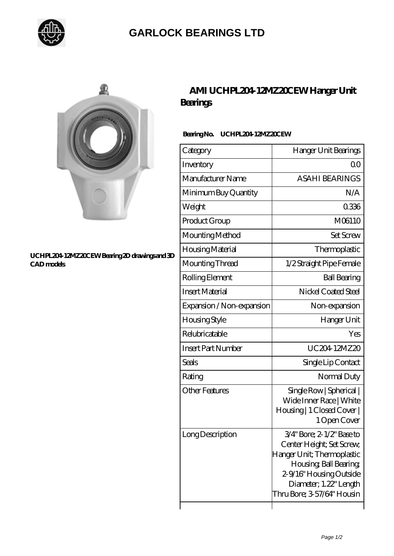

## **[GARLOCK BEARINGS LTD](https://m.letterstopriests.com)**



#### **[UCHPL204-12MZ20CEW Bearing 2D drawings and 3D](https://m.letterstopriests.com/pic-189103.html) [CAD models](https://m.letterstopriests.com/pic-189103.html)**

## **[AMI UCHPL204-12MZ20CEW Hanger Unit](https://m.letterstopriests.com/bz-189103-ami-uchpl204-12mz20cew-hanger-unit-bearings.html) [Bearings](https://m.letterstopriests.com/bz-189103-ami-uchpl204-12mz20cew-hanger-unit-bearings.html)**

### **Bearing No. UCHPL204-12MZ20CEW**

| Category                  | Hanger Unit Bearings                                                                                                                                                                              |
|---------------------------|---------------------------------------------------------------------------------------------------------------------------------------------------------------------------------------------------|
| Inventory                 | Q0                                                                                                                                                                                                |
| Manufacturer Name         | <b>ASAHI BEARINGS</b>                                                                                                                                                                             |
| Minimum Buy Quantity      | N/A                                                                                                                                                                                               |
| Weight                    | 0336                                                                                                                                                                                              |
| Product Group             | M06110                                                                                                                                                                                            |
| Mounting Method           | <b>Set Screw</b>                                                                                                                                                                                  |
| Housing Material          | Thermoplastic                                                                                                                                                                                     |
| Mounting Thread           | 1/2 Straight Pipe Female                                                                                                                                                                          |
| Rolling Element           | <b>Ball Bearing</b>                                                                                                                                                                               |
| <b>Insert Material</b>    | Nickel Coated Steel                                                                                                                                                                               |
| Expansion / Non-expansion | Non-expansion                                                                                                                                                                                     |
| <b>Housing Style</b>      | Hanger Unit                                                                                                                                                                                       |
| Relubricatable            | Yes                                                                                                                                                                                               |
| <b>Insert Part Number</b> | UC204 12MZ20                                                                                                                                                                                      |
| <b>Seals</b>              | Single Lip Contact                                                                                                                                                                                |
| Rating                    | Normal Duty                                                                                                                                                                                       |
| <b>Other Features</b>     | Single Row   Spherical  <br>Wide Inner Race   White<br>Housing   1 Closed Cover  <br>1 Open Cover                                                                                                 |
| Long Description          | 3/4" Bore; 2-1/2" Base to<br>Center Height; Set Screw,<br>Hanger Unit; Thermoplastic<br>Housing, Ball Bearing,<br>2-9/16" Housing Outside<br>Diameter; 1.22" Length<br>Thru Bore; 3-57/64" Housin |